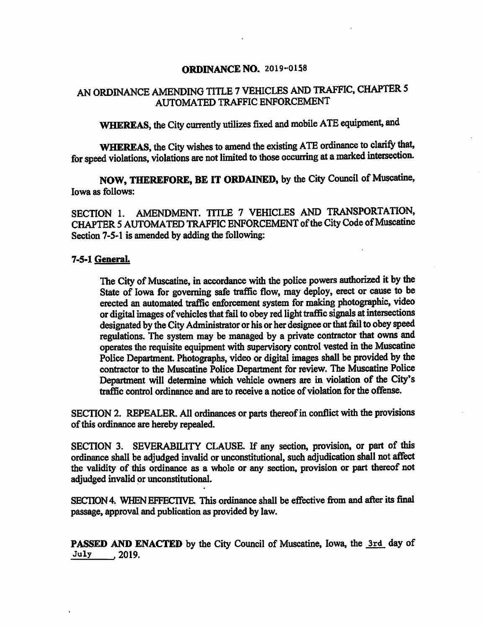### **ORDINANCE NO. 2019-0158**

# AN ORDINANCE AMENDING TITLE 7 VEHICLES AND TRAFFIC, CHAPTER 5 AUTOMATED TRAFFIC ENFORCEMENT

WHEREAS, the City currently utilizes fixed and mobile ATE equipment, and

WHEREAS, the City wishes to amend the existing ATE ordinance to clarify that, for speed violations, violations are not limited to those occurring at a marked intersection.

NOW, THEREFORE, BE IT ORDAINED, by the City Council of Muscatine, Iowa as follows:

SECTION 1. AMENDMENT. TITLE 7 VEHICLES AND TRANSPORTATION, CHAPTER 5 AUTOMATED TRAFFIC ENFORCEMENT of the City Code of Muscatine Section 7-5-1 is amended by adding the following:

#### 7-5-1 GeneraL

The City of Muscatine, in accordance with the police powers authorized it by the State of Iowa for governing safe traffic flow, may deploy, erect or cause to be erected an automated traffic enforcement system for making photographic, video or digital images of vehicles that fail to obey red light traffic signals at intersections designated by the City Administrator or his or her designee or that fail to obey speed regulations. The system may be managed by a private contractor that owns and operates the requisite equipment with supervisory control vested in the Muscatine Police Department. Photographs, video or digital images shall be provided by the contractor to the Muscatine Police Department for review. The Muscatine Police Department will determine which vehicle owners are in violation of the City's traffic control ordinance and are to receive a notice of violation for the offense.

SECTION 2. REPEALER. All ordinances or parts thereof in conflict with the provisions of this ordinance are hereby repealed.

SECTION 3. SEVERABILITY CLAUSE. If any section, provision, or part of this ordinance shall be adjudged invalid or unconstitutional, such adjudication shall not affect the validity of this ordinance as a whole or any section, provision or part thereof not adjudged invalid or unconstitutional.

SECTION 4. WHEN EFFECTIVE. This ordinance shall be effective from and after its final passage, approval and publication as provided by law.

PASSED AND ENACTED by the City Council of Muscatine, Iowa, the 3rd day of July . 2019.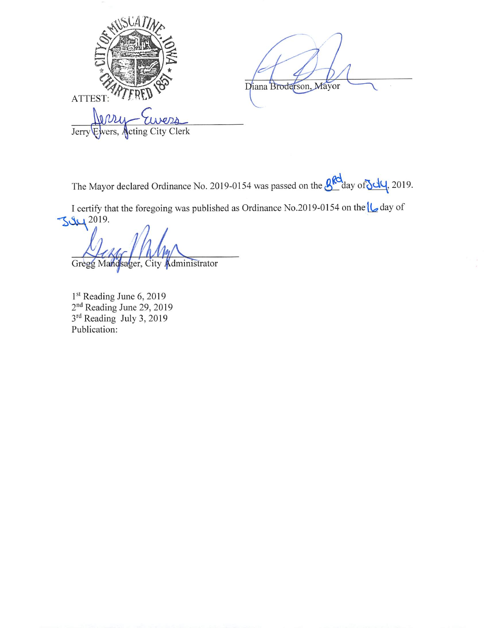Diana Broderson, Mayor ATTEST:  $001$ Jerry **Acting City Clerk** Ewers,

The Mayor declared Ordinance No. 2019-0154 was passed on the **g<sub>Rd</sub>** day of July, 2019.

I certify that the foregoing was published as Ordinance No.2019-0154 on the U day of  $3919.$ 

Gregg Mandsager, City Administrator

 $1<sup>st</sup>$  Reading June 6, 2019<br> $2<sup>nd</sup>$  Reading June 29, 2019<br> $3<sup>rd</sup>$  Reading July 3, 2019 Publication: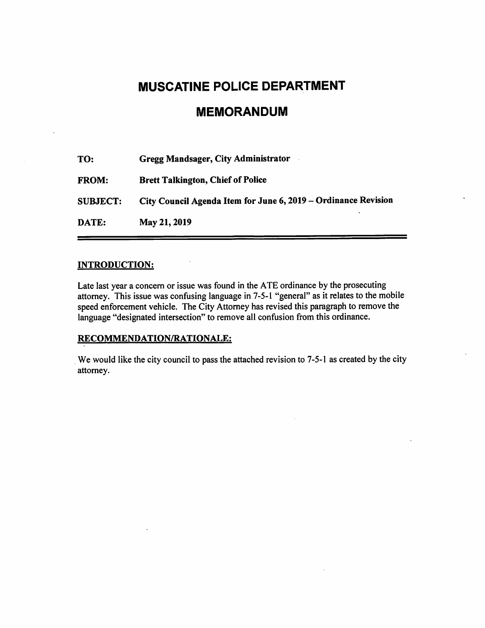# **MUSCATINE POLICE DEPARTMENT**

# **MEMORANDUM**

| TO:             | Gregg Mandsager, City Administrator                            |
|-----------------|----------------------------------------------------------------|
| <b>FROM:</b>    | <b>Brett Talkington, Chief of Police</b>                       |
| <b>SUBJECT:</b> | City Council Agenda Item for June 6, 2019 – Ordinance Revision |
| DATE:           | May 21, 2019                                                   |

### **INTRODUCTION:**

Late last year a concern or issue was found in the ATE ordinance by the prosecuting attorney. This issue was confusing language in 7-5-1 "general" as it relates to the mobile speed enforcement vehicle. The City Attorney has revised this paragraph to remove the language "designated intersection" to remove all confusion from this ordinance.

### RECOMMENDATION/RATIONALE:

We would like the city council to pass the attached revision to 7-5-1 as created by the city attorney.